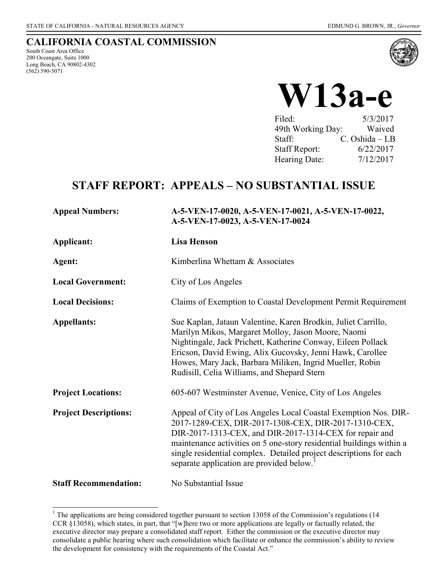## **CALIFORNIA COASTAL COMMISSION**

South Coast Area Office 200 Oceangate, Suite 1000 Long Beach, CA 90802-4302 (562) 590-5071

 $\overline{a}$ 



# **W13a-e**

| Filed:               | 5/3/2017         |
|----------------------|------------------|
| 49th Working Day:    | Waived           |
| Staff:               | $C.$ Oshida – LB |
| <b>Staff Report:</b> | 6/22/2017        |
| Hearing Date:        | 7/12/2017        |

# **STAFF REPORT: APPEALS – NO SUBSTANTIAL ISSUE**

| <b>Appeal Numbers:</b>       | A-5-VEN-17-0020, A-5-VEN-17-0021, A-5-VEN-17-0022,<br>A-5-VEN-17-0023, A-5-VEN-17-0024<br><b>Lisa Henson</b>                                                                                                                                                                                                                                                                 |  |  |  |
|------------------------------|------------------------------------------------------------------------------------------------------------------------------------------------------------------------------------------------------------------------------------------------------------------------------------------------------------------------------------------------------------------------------|--|--|--|
| Applicant:                   |                                                                                                                                                                                                                                                                                                                                                                              |  |  |  |
| Agent:                       | Kimberlina Whettam & Associates                                                                                                                                                                                                                                                                                                                                              |  |  |  |
| <b>Local Government:</b>     | City of Los Angeles                                                                                                                                                                                                                                                                                                                                                          |  |  |  |
| <b>Local Decisions:</b>      | Claims of Exemption to Coastal Development Permit Requirement                                                                                                                                                                                                                                                                                                                |  |  |  |
| <b>Appellants:</b>           | Sue Kaplan, Jataun Valentine, Karen Brodkin, Juliet Carrillo,<br>Marilyn Mikos, Margaret Molloy, Jason Moore, Naomi<br>Nightingale, Jack Prichett, Katherine Conway, Eileen Pollack<br>Ericson, David Ewing, Alix Gucovsky, Jenni Hawk, Carollee<br>Howes, Mary Jack, Barbara Miliken, Ingrid Mueller, Robin<br>Rudisill, Celia Williams, and Shepard Stern                  |  |  |  |
| <b>Project Locations:</b>    | 605-607 Westminster Avenue, Venice, City of Los Angeles                                                                                                                                                                                                                                                                                                                      |  |  |  |
| <b>Project Descriptions:</b> | Appeal of City of Los Angeles Local Coastal Exemption Nos. DIR-<br>2017-1289-CEX, DIR-2017-1308-CEX, DIR-2017-1310-CEX,<br>DIR-2017-1313-CEX, and DIR-2017-1314-CEX for repair and<br>maintenance activities on 5 one-story residential buildings within a<br>single residential complex. Detailed project descriptions for each<br>separate application are provided below. |  |  |  |
| <b>Staff Recommendation:</b> | No Substantial Issue                                                                                                                                                                                                                                                                                                                                                         |  |  |  |

 $1$  The applications are being considered together pursuant to section 13058 of the Commission's regulations (14 CCR §13058), which states, in part, that "[w]here two or more applications are legally or factually related, the executive director may prepare a consolidated staff report. Either the commission or the executive director may consolidate a public hearing where such consolidation which facilitate or enhance the commission's ability to review the development for consistency with the requirements of the Coastal Act."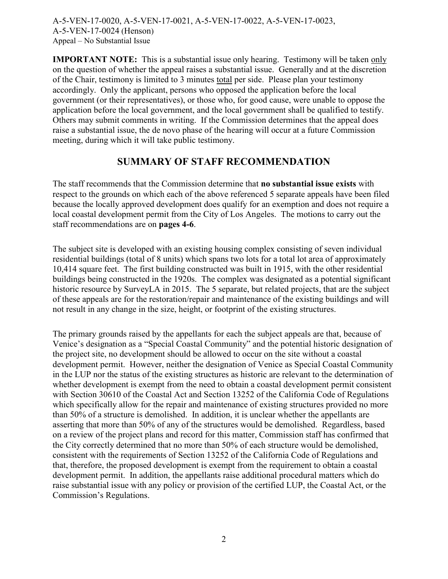**IMPORTANT NOTE:** This is a substantial issue only hearing. Testimony will be taken only on the question of whether the appeal raises a substantial issue. Generally and at the discretion of the Chair, testimony is limited to 3 minutes total per side. Please plan your testimony accordingly. Only the applicant, persons who opposed the application before the local government (or their representatives), or those who, for good cause, were unable to oppose the application before the local government, and the local government shall be qualified to testify. Others may submit comments in writing. If the Commission determines that the appeal does raise a substantial issue, the de novo phase of the hearing will occur at a future Commission meeting, during which it will take public testimony.

### **SUMMARY OF STAFF RECOMMENDATION**

The staff recommends that the Commission determine that **no substantial issue exists** with respect to the grounds on which each of the above referenced 5 separate appeals have been filed because the locally approved development does qualify for an exemption and does not require a local coastal development permit from the City of Los Angeles. The motions to carry out the staff recommendations are on **pages 4-6**.

The subject site is developed with an existing housing complex consisting of seven individual residential buildings (total of 8 units) which spans two lots for a total lot area of approximately 10,414 square feet. The first building constructed was built in 1915, with the other residential buildings being constructed in the 1920s. The complex was designated as a potential significant historic resource by SurveyLA in 2015. The 5 separate, but related projects, that are the subject of these appeals are for the restoration/repair and maintenance of the existing buildings and will not result in any change in the size, height, or footprint of the existing structures.

The primary grounds raised by the appellants for each the subject appeals are that, because of Venice's designation as a "Special Coastal Community" and the potential historic designation of the project site, no development should be allowed to occur on the site without a coastal development permit. However, neither the designation of Venice as Special Coastal Community in the LUP nor the status of the existing structures as historic are relevant to the determination of whether development is exempt from the need to obtain a coastal development permit consistent with Section 30610 of the Coastal Act and Section 13252 of the California Code of Regulations which specifically allow for the repair and maintenance of existing structures provided no more than 50% of a structure is demolished. In addition, it is unclear whether the appellants are asserting that more than 50% of any of the structures would be demolished. Regardless, based on a review of the project plans and record for this matter, Commission staff has confirmed that the City correctly determined that no more than 50% of each structure would be demolished, consistent with the requirements of Section 13252 of the California Code of Regulations and that, therefore, the proposed development is exempt from the requirement to obtain a coastal development permit. In addition, the appellants raise additional procedural matters which do raise substantial issue with any policy or provision of the certified LUP, the Coastal Act, or the Commission's Regulations.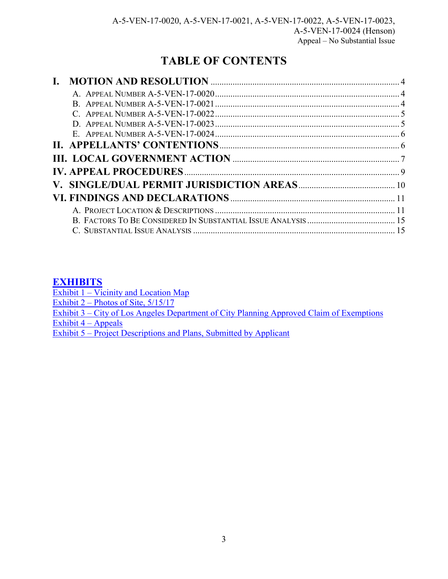# **TABLE OF CONTENTS**

# **[EXHIBITS](https://documents.coastal.ca.gov/reports/2017/7/W13a-s/W13a-s-7-2017-exhibits.pdf)**

Exhibit 1 – Vicinity and Location Map

Exhibit 2 – [Photos of Site, 5/15/17](https://documents.coastal.ca.gov/reports/2017/7/W13a-s/W13a-s-7-2017-exhibits.pdf) 

Exhibit 3 – [City of Los Angeles Department of City Planning Approved Claim of Exemptions](https://documents.coastal.ca.gov/reports/2017/7/W13a-s/W13a-s-7-2017-exhibits.pdf) 

[Exhibit 4](https://documents.coastal.ca.gov/reports/2017/7/W13a-s/W13a-s-7-2017-exhibits.pdf) – Appeals

Exhibit 5 – [Project Descriptions and Plans, Submitted by Applicant](https://documents.coastal.ca.gov/reports/2017/7/W13a-s/W13a-s-7-2017-exhibits.pdf)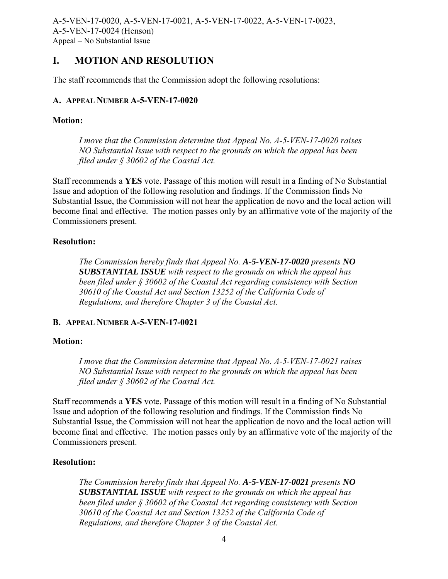## <span id="page-3-0"></span>**I. MOTION AND RESOLUTION**

The staff recommends that the Commission adopt the following resolutions:

#### <span id="page-3-1"></span>**A. APPEAL NUMBER A-5-VEN-17-0020**

#### **Motion:**

*I move that the Commission determine that Appeal No. A-5-VEN-17-0020 raises NO Substantial Issue with respect to the grounds on which the appeal has been filed under § 30602 of the Coastal Act.*

Staff recommends a **YES** vote. Passage of this motion will result in a finding of No Substantial Issue and adoption of the following resolution and findings. If the Commission finds No Substantial Issue, the Commission will not hear the application de novo and the local action will become final and effective. The motion passes only by an affirmative vote of the majority of the Commissioners present.

#### **Resolution:**

*The Commission hereby finds that Appeal No. A-5-VEN-17-0020 presents NO SUBSTANTIAL ISSUE with respect to the grounds on which the appeal has been filed under § 30602 of the Coastal Act regarding consistency with Section 30610 of the Coastal Act and Section 13252 of the California Code of Regulations, and therefore Chapter 3 of the Coastal Act.*

#### <span id="page-3-2"></span>**B. APPEAL NUMBER A-5-VEN-17-0021**

#### **Motion:**

*I move that the Commission determine that Appeal No. A-5-VEN-17-0021 raises NO Substantial Issue with respect to the grounds on which the appeal has been filed under § 30602 of the Coastal Act.*

Staff recommends a **YES** vote. Passage of this motion will result in a finding of No Substantial Issue and adoption of the following resolution and findings. If the Commission finds No Substantial Issue, the Commission will not hear the application de novo and the local action will become final and effective. The motion passes only by an affirmative vote of the majority of the Commissioners present.

#### **Resolution:**

*The Commission hereby finds that Appeal No. A-5-VEN-17-0021 presents NO SUBSTANTIAL ISSUE with respect to the grounds on which the appeal has been filed under § 30602 of the Coastal Act regarding consistency with Section 30610 of the Coastal Act and Section 13252 of the California Code of Regulations, and therefore Chapter 3 of the Coastal Act.*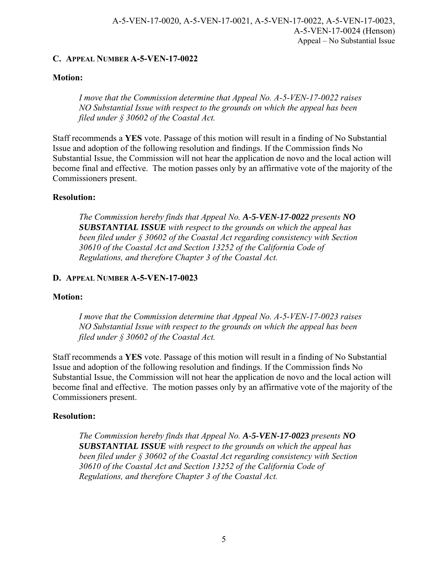#### <span id="page-4-0"></span>**C. APPEAL NUMBER A-5-VEN-17-0022**

#### **Motion:**

*I move that the Commission determine that Appeal No. A-5-VEN-17-0022 raises NO Substantial Issue with respect to the grounds on which the appeal has been filed under § 30602 of the Coastal Act.*

Staff recommends a **YES** vote. Passage of this motion will result in a finding of No Substantial Issue and adoption of the following resolution and findings. If the Commission finds No Substantial Issue, the Commission will not hear the application de novo and the local action will become final and effective. The motion passes only by an affirmative vote of the majority of the Commissioners present.

#### **Resolution:**

*The Commission hereby finds that Appeal No. A-5-VEN-17-0022 presents NO SUBSTANTIAL ISSUE with respect to the grounds on which the appeal has been filed under § 30602 of the Coastal Act regarding consistency with Section 30610 of the Coastal Act and Section 13252 of the California Code of Regulations, and therefore Chapter 3 of the Coastal Act.* 

#### <span id="page-4-1"></span>**D. APPEAL NUMBER A-5-VEN-17-0023**

#### **Motion:**

*I move that the Commission determine that Appeal No. A-5-VEN-17-0023 raises NO Substantial Issue with respect to the grounds on which the appeal has been filed under § 30602 of the Coastal Act.*

Staff recommends a **YES** vote. Passage of this motion will result in a finding of No Substantial Issue and adoption of the following resolution and findings. If the Commission finds No Substantial Issue, the Commission will not hear the application de novo and the local action will become final and effective. The motion passes only by an affirmative vote of the majority of the Commissioners present.

#### **Resolution:**

*The Commission hereby finds that Appeal No. A-5-VEN-17-0023 presents NO SUBSTANTIAL ISSUE with respect to the grounds on which the appeal has been filed under § 30602 of the Coastal Act regarding consistency with Section 30610 of the Coastal Act and Section 13252 of the California Code of Regulations, and therefore Chapter 3 of the Coastal Act.*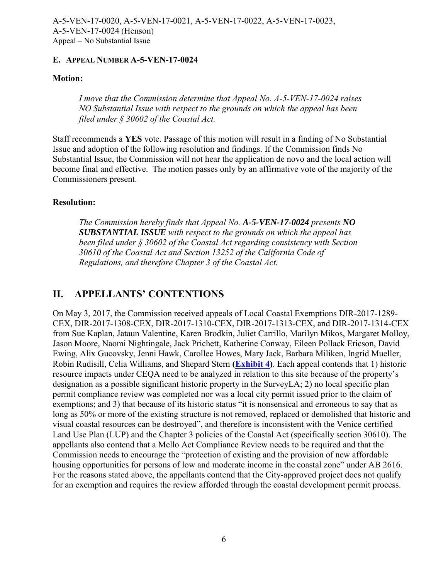#### <span id="page-5-0"></span>**E. APPEAL NUMBER A-5-VEN-17-0024**

#### **Motion:**

*I move that the Commission determine that Appeal No. A-5-VEN-17-0024 raises NO Substantial Issue with respect to the grounds on which the appeal has been filed under § 30602 of the Coastal Act.*

Staff recommends a **YES** vote. Passage of this motion will result in a finding of No Substantial Issue and adoption of the following resolution and findings. If the Commission finds No Substantial Issue, the Commission will not hear the application de novo and the local action will become final and effective. The motion passes only by an affirmative vote of the majority of the Commissioners present.

#### **Resolution:**

*The Commission hereby finds that Appeal No. A-5-VEN-17-0024 presents NO SUBSTANTIAL ISSUE with respect to the grounds on which the appeal has been filed under § 30602 of the Coastal Act regarding consistency with Section 30610 of the Coastal Act and Section 13252 of the California Code of Regulations, and therefore Chapter 3 of the Coastal Act.* 

## <span id="page-5-1"></span>**II. APPELLANTS' CONTENTIONS**

On May 3, 2017, the Commission received appeals of Local Coastal Exemptions DIR-2017-1289- CEX, DIR-2017-1308-CEX, DIR-2017-1310-CEX, DIR-2017-1313-CEX, and DIR-2017-1314-CEX from Sue Kaplan, Jataun Valentine, Karen Brodkin, Juliet Carrillo, Marilyn Mikos, Margaret Molloy, Jason Moore, Naomi Nightingale, Jack Prichett, Katherine Conway, Eileen Pollack Ericson, David Ewing, Alix Gucovsky, Jenni Hawk, Carollee Howes, Mary Jack, Barbara Miliken, Ingrid Mueller, Robin Rudisill, Celia Williams, and Shepard Stern **[\(Exhibit 4\)](https://documents.coastal.ca.gov/reports/2017/7/W13a-s/W13a-s-7-2017-exhibits.pdf)**. Each appeal contends that 1) historic resource impacts under CEQA need to be analyzed in relation to this site because of the property's designation as a possible significant historic property in the SurveyLA; 2) no local specific plan permit compliance review was completed nor was a local city permit issued prior to the claim of exemptions; and 3) that because of its historic status "it is nonsensical and erroneous to say that as long as 50% or more of the existing structure is not removed, replaced or demolished that historic and visual coastal resources can be destroyed", and therefore is inconsistent with the Venice certified Land Use Plan (LUP) and the Chapter 3 policies of the Coastal Act (specifically section 30610). The appellants also contend that a Mello Act Compliance Review needs to be required and that the Commission needs to encourage the "protection of existing and the provision of new affordable housing opportunities for persons of low and moderate income in the coastal zone" under AB 2616. For the reasons stated above, the appellants contend that the City-approved project does not qualify for an exemption and requires the review afforded through the coastal development permit process.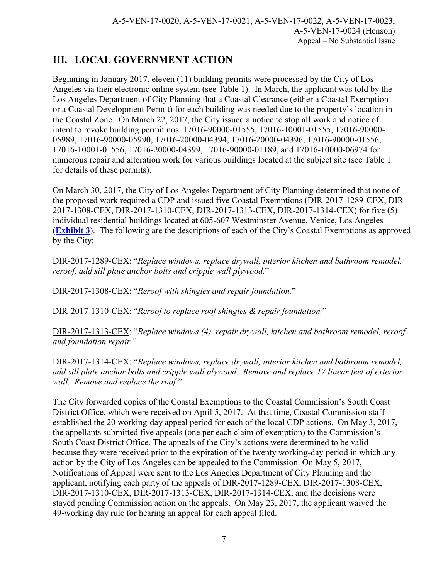# <span id="page-6-0"></span>**III. LOCAL GOVERNMENT ACTION**

Beginning in January 2017, eleven (11) building permits were processed by the City of Los Angeles via their electronic online system (see Table 1). In March, the applicant was told by the Los Angeles Department of City Planning that a Coastal Clearance (either a Coastal Exemption or a Coastal Development Permit) for each building was needed due to the property's location in the Coastal Zone. On March 22, 2017, the City issued a notice to stop all work and notice of intent to revoke building permit nos. 17016-90000-01555, 17016-10001-01555, 17016-90000- 05989, 17016-90000-05990, 17016-20000-04394, 17016-20000-04396, 17016-90000-01556, 17016-10001-01556, 17016-20000-04399, 17016-90000-01189, and 17016-10000-06974 for numerous repair and alteration work for various buildings located at the subject site (see Table 1 for details of these permits).

On March 30, 2017, the City of Los Angeles Department of City Planning determined that none of the proposed work required a CDP and issued five Coastal Exemptions (DIR-2017-1289-CEX, DIR-2017-1308-CEX, DIR-2017-1310-CEX, DIR-2017-1313-CEX, DIR-2017-1314-CEX) for five (5) individual residential buildings located at 605-607 Westminster Avenue, Venice, Los Angeles (**[Exhibit 3](https://documents.coastal.ca.gov/reports/2017/7/W13a-s/W13a-s-7-2017-exhibits.pdf)**). The following are the descriptions of each of the City's Coastal Exemptions as approved by the City:

DIR-2017-1289-CEX: "*Replace windows, replace drywall, interior kitchen and bathroom remodel, reroof, add sill plate anchor bolts and cripple wall plywood.*"

DIR-2017-1308-CEX: "*Reroof with shingles and repair foundation.*"

DIR-2017-1310-CEX: "*Reroof to replace roof shingles & repair foundation.*"

DIR-2017-1313-CEX: "*Replace windows (4), repair drywall, kitchen and bathroom remodel, reroof and foundation repair.*"

DIR-2017-1314-CEX: "*Replace windows, replace drywall, interior kitchen and bathroom remodel, add sill plate anchor bolts and cripple wall plywood. Remove and replace 17 linear feet of exterior wall. Remove and replace the roof.*"

The City forwarded copies of the Coastal Exemptions to the Coastal Commission's South Coast District Office, which were received on April 5, 2017. At that time, Coastal Commission staff established the 20 working-day appeal period for each of the local CDP actions. On May 3, 2017, the appellants submitted five appeals (one per each claim of exemption) to the Commission's South Coast District Office. The appeals of the City's actions were determined to be valid because they were received prior to the expiration of the twenty working-day period in which any action by the City of Los Angeles can be appealed to the Commission. On May 5, 2017, Notifications of Appeal were sent to the Los Angeles Department of City Planning and the applicant, notifying each party of the appeals of DIR-2017-1289-CEX, DIR-2017-1308-CEX, DIR-2017-1310-CEX, DIR-2017-1313-CEX, DIR-2017-1314-CEX, and the decisions were stayed pending Commission action on the appeals. On May 23, 2017, the applicant waived the 49-working day rule for hearing an appeal for each appeal filed.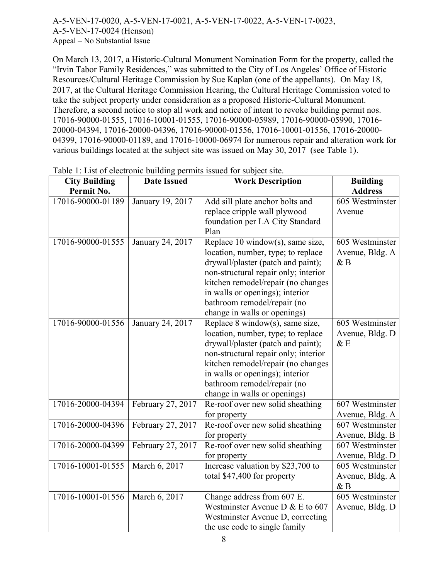On March 13, 2017, a Historic-Cultural Monument Nomination Form for the property, called the "Irvin Tabor Family Residences," was submitted to the City of Los Angeles' Office of Historic Resources/Cultural Heritage Commission by Sue Kaplan (one of the appellants). On May 18, 2017, at the Cultural Heritage Commission Hearing, the Cultural Heritage Commission voted to take the subject property under consideration as a proposed Historic-Cultural Monument. Therefore, a second notice to stop all work and notice of intent to revoke building permit nos. 17016-90000-01555, 17016-10001-01555, 17016-90000-05989, 17016-90000-05990, 17016- 20000-04394, 17016-20000-04396, 17016-90000-01556, 17016-10001-01556, 17016-20000- 04399, 17016-90000-01189, and 17016-10000-06974 for numerous repair and alteration work for various buildings located at the subject site was issued on May 30, 2017 (see Table 1).

| <b>City Building</b><br><b>Date Issued</b> |                   | <b>Work Description</b>                          | <b>Building</b>                    |  |
|--------------------------------------------|-------------------|--------------------------------------------------|------------------------------------|--|
| Permit No.                                 |                   |                                                  | <b>Address</b>                     |  |
| 17016-90000-01189                          | January 19, 2017  | Add sill plate anchor bolts and                  | $\overline{60}5$ Westminster       |  |
|                                            |                   | replace cripple wall plywood                     | Avenue                             |  |
|                                            |                   | foundation per LA City Standard                  |                                    |  |
|                                            |                   | Plan                                             |                                    |  |
| 17016-90000-01555                          | January 24, 2017  | Replace 10 window(s), same size,                 | 605 Westminster                    |  |
|                                            |                   | location, number, type; to replace               | Avenue, Bldg. A                    |  |
|                                            |                   | drywall/plaster (patch and paint);               | &B                                 |  |
|                                            |                   | non-structural repair only; interior             |                                    |  |
|                                            |                   | kitchen remodel/repair (no changes               |                                    |  |
|                                            |                   | in walls or openings); interior                  |                                    |  |
|                                            |                   | bathroom remodel/repair (no                      |                                    |  |
|                                            |                   | change in walls or openings)                     |                                    |  |
| 17016-90000-01556                          | January 24, 2017  | Replace 8 window(s), same size,                  | 605 Westminster                    |  |
|                                            |                   | location, number, type; to replace               | Avenue, Bldg. D                    |  |
|                                            |                   | drywall/plaster (patch and paint);               | &E                                 |  |
|                                            |                   | non-structural repair only; interior             |                                    |  |
|                                            |                   | kitchen remodel/repair (no changes               |                                    |  |
|                                            |                   | in walls or openings); interior                  |                                    |  |
|                                            |                   | bathroom remodel/repair (no                      |                                    |  |
| 17016-20000-04394                          |                   | change in walls or openings)                     | 607 Westminster                    |  |
|                                            | February 27, 2017 | Re-roof over new solid sheathing                 |                                    |  |
| 17016-20000-04396                          | February 27, 2017 | for property<br>Re-roof over new solid sheathing | Avenue, Bldg. A<br>607 Westminster |  |
|                                            |                   |                                                  |                                    |  |
| 17016-20000-04399                          | February 27, 2017 | for property<br>Re-roof over new solid sheathing | Avenue, Bldg. B<br>607 Westminster |  |
|                                            |                   | for property                                     | Avenue, Bldg. D                    |  |
| 17016-10001-01555                          | March 6, 2017     | Increase valuation by \$23,700 to                | 605 Westminster                    |  |
|                                            |                   | total \$47,400 for property                      | Avenue, Bldg. A                    |  |
|                                            |                   |                                                  | $\&$ B                             |  |
| 17016-10001-01556                          | March 6, 2017     | Change address from 607 E.                       | 605 Westminster                    |  |
|                                            |                   | Westminster Avenue D & E to $607$                | Avenue, Bldg. D                    |  |
|                                            |                   | Westminster Avenue D, correcting                 |                                    |  |
|                                            |                   | the use code to single family                    |                                    |  |

Table 1: List of electronic building permits issued for subject site.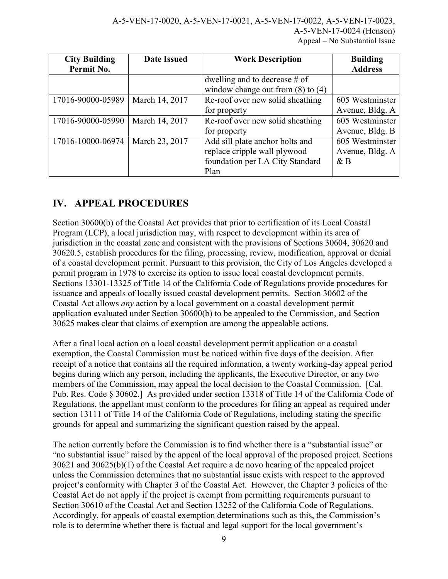| <b>City Building</b> | <b>Date Issued</b> | <b>Work Description</b>               | <b>Building</b> |  |
|----------------------|--------------------|---------------------------------------|-----------------|--|
| Permit No.           |                    |                                       | <b>Address</b>  |  |
|                      |                    | dwelling and to decrease $#$ of       |                 |  |
|                      |                    | window change out from $(8)$ to $(4)$ |                 |  |
| 17016-90000-05989    | March 14, 2017     | Re-roof over new solid sheathing      | 605 Westminster |  |
|                      |                    | for property                          | Avenue, Bldg. A |  |
| 17016-90000-05990    | March 14, 2017     | Re-roof over new solid sheathing      | 605 Westminster |  |
|                      |                    | for property                          | Avenue, Bldg. B |  |
| 17016-10000-06974    | March 23, 2017     | Add sill plate anchor bolts and       | 605 Westminster |  |
|                      |                    | replace cripple wall plywood          | Avenue, Bldg. A |  |
|                      |                    | foundation per LA City Standard       | $\&$ B          |  |
|                      |                    | Plan                                  |                 |  |

# <span id="page-8-0"></span>**IV. APPEAL PROCEDURES**

Section 30600(b) of the Coastal Act provides that prior to certification of its Local Coastal Program (LCP), a local jurisdiction may, with respect to development within its area of jurisdiction in the coastal zone and consistent with the provisions of Sections 30604, 30620 and 30620.5, establish procedures for the filing, processing, review, modification, approval or denial of a coastal development permit. Pursuant to this provision, the City of Los Angeles developed a permit program in 1978 to exercise its option to issue local coastal development permits. Sections 13301-13325 of Title 14 of the California Code of Regulations provide procedures for issuance and appeals of locally issued coastal development permits. Section 30602 of the Coastal Act allows *any* action by a local government on a coastal development permit application evaluated under Section 30600(b) to be appealed to the Commission, and Section 30625 makes clear that claims of exemption are among the appealable actions.

After a final local action on a local coastal development permit application or a coastal exemption, the Coastal Commission must be noticed within five days of the decision. After receipt of a notice that contains all the required information, a twenty working-day appeal period begins during which any person, including the applicants, the Executive Director, or any two members of the Commission, may appeal the local decision to the Coastal Commission. [Cal. Pub. Res. Code § 30602.] As provided under section 13318 of Title 14 of the California Code of Regulations, the appellant must conform to the procedures for filing an appeal as required under section 13111 of Title 14 of the California Code of Regulations, including stating the specific grounds for appeal and summarizing the significant question raised by the appeal.

The action currently before the Commission is to find whether there is a "substantial issue" or "no substantial issue" raised by the appeal of the local approval of the proposed project. Sections 30621 and 30625(b)(1) of the Coastal Act require a de novo hearing of the appealed project unless the Commission determines that no substantial issue exists with respect to the approved project's conformity with Chapter 3 of the Coastal Act. However, the Chapter 3 policies of the Coastal Act do not apply if the project is exempt from permitting requirements pursuant to Section 30610 of the Coastal Act and Section 13252 of the California Code of Regulations. Accordingly, for appeals of coastal exemption determinations such as this, the Commission's role is to determine whether there is factual and legal support for the local government's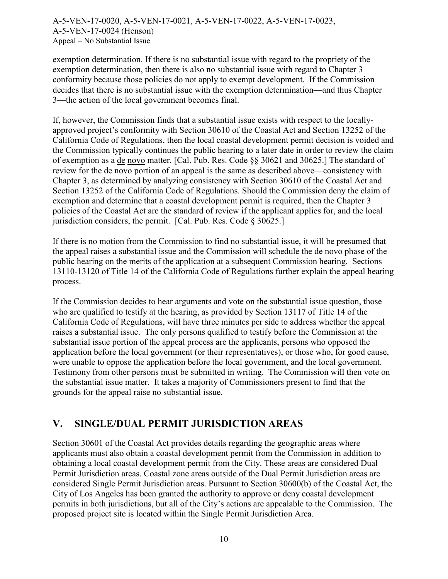exemption determination. If there is no substantial issue with regard to the propriety of the exemption determination, then there is also no substantial issue with regard to Chapter 3 conformity because those policies do not apply to exempt development. If the Commission decides that there is no substantial issue with the exemption determination—and thus Chapter 3—the action of the local government becomes final.

If, however, the Commission finds that a substantial issue exists with respect to the locallyapproved project's conformity with Section 30610 of the Coastal Act and Section 13252 of the California Code of Regulations, then the local coastal development permit decision is voided and the Commission typically continues the public hearing to a later date in order to review the claim of exemption as a de novo matter. [Cal. Pub. Res. Code §§ 30621 and 30625.] The standard of review for the de novo portion of an appeal is the same as described above—consistency with Chapter 3, as determined by analyzing consistency with Section 30610 of the Coastal Act and Section 13252 of the California Code of Regulations. Should the Commission deny the claim of exemption and determine that a coastal development permit is required, then the Chapter 3 policies of the Coastal Act are the standard of review if the applicant applies for, and the local jurisdiction considers, the permit. [Cal. Pub. Res. Code § 30625.]

If there is no motion from the Commission to find no substantial issue, it will be presumed that the appeal raises a substantial issue and the Commission will schedule the de novo phase of the public hearing on the merits of the application at a subsequent Commission hearing. Sections 13110-13120 of Title 14 of the California Code of Regulations further explain the appeal hearing process.

If the Commission decides to hear arguments and vote on the substantial issue question, those who are qualified to testify at the hearing, as provided by Section 13117 of Title 14 of the California Code of Regulations, will have three minutes per side to address whether the appeal raises a substantial issue. The only persons qualified to testify before the Commission at the substantial issue portion of the appeal process are the applicants, persons who opposed the application before the local government (or their representatives), or those who, for good cause, were unable to oppose the application before the local government, and the local government. Testimony from other persons must be submitted in writing. The Commission will then vote on the substantial issue matter. It takes a majority of Commissioners present to find that the grounds for the appeal raise no substantial issue.

# <span id="page-9-0"></span>**V. SINGLE/DUAL PERMIT JURISDICTION AREAS**

Section 30601 of the Coastal Act provides details regarding the geographic areas where applicants must also obtain a coastal development permit from the Commission in addition to obtaining a local coastal development permit from the City. These areas are considered Dual Permit Jurisdiction areas. Coastal zone areas outside of the Dual Permit Jurisdiction areas are considered Single Permit Jurisdiction areas. Pursuant to Section 30600(b) of the Coastal Act, the City of Los Angeles has been granted the authority to approve or deny coastal development permits in both jurisdictions, but all of the City's actions are appealable to the Commission. The proposed project site is located within the Single Permit Jurisdiction Area.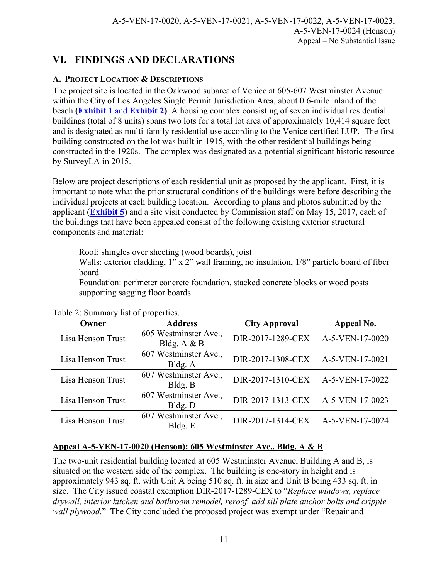# <span id="page-10-0"></span>**VI. FINDINGS AND DECLARATIONS**

## <span id="page-10-1"></span>**A. PROJECT LOCATION & DESCRIPTIONS**

The project site is located in the Oakwood subarea of Venice at 605-607 Westminster Avenue within the City of Los Angeles Single Permit Jurisdiction Area, about 0.6-mile inland of the beach **[\(Exhibit 1](https://documents.coastal.ca.gov/reports/2017/7/W13a-s/W13a-s-7-2017-exhibits.pdf)** and **Exhibit 2)**. A housing complex consisting of seven individual residential buildings (total of 8 units) spans two lots for a total lot area of approximately 10,414 square feet and is designated as multi-family residential use according to the Venice certified LUP. The first building constructed on the lot was built in 1915, with the other residential buildings being constructed in the 1920s. The complex was designated as a potential significant historic resource by SurveyLA in 2015.

Below are project descriptions of each residential unit as proposed by the applicant. First, it is important to note what the prior structural conditions of the buildings were before describing the individual projects at each building location. According to plans and photos submitted by the applicant (**[Exhibit 5](https://documents.coastal.ca.gov/reports/2017/7/W13a-s/W13a-s-7-2017-exhibits.pdf)**) and a site visit conducted by Commission staff on May 15, 2017, each of the buildings that have been appealed consist of the following existing exterior structural components and material:

Roof: shingles over sheeting (wood boards), joist

Walls: exterior cladding, 1" x 2" wall framing, no insulation, 1/8" particle board of fiber board

Foundation: perimeter concrete foundation, stacked concrete blocks or wood posts supporting sagging floor boards

| Owner             | <b>Address</b>                       | <b>City Approval</b> | Appeal No.      |  |
|-------------------|--------------------------------------|----------------------|-----------------|--|
| Lisa Henson Trust | 605 Westminster Ave.,<br>Bldg. A & B | DIR-2017-1289-CEX    | A-5-VEN-17-0020 |  |
| Lisa Henson Trust | 607 Westminster Ave.,<br>Bldg. A     | DIR-2017-1308-CEX    | A-5-VEN-17-0021 |  |
| Lisa Henson Trust | 607 Westminster Ave.,<br>Bldg. B     | DIR-2017-1310-CEX    | A-5-VEN-17-0022 |  |
| Lisa Henson Trust | 607 Westminster Ave.,<br>Bldg. D     | DIR-2017-1313-CEX    | A-5-VEN-17-0023 |  |
| Lisa Henson Trust | 607 Westminster Ave.,<br>Bldg. E     | DIR-2017-1314-CEX    | A-5-VEN-17-0024 |  |

Table 2: Summary list of properties.

## **Appeal A-5-VEN-17-0020 (Henson): 605 Westminster Ave., Bldg. A & B**

The two-unit residential building located at 605 Westminster Avenue, Building A and B, is situated on the western side of the complex. The building is one-story in height and is approximately 943 sq. ft. with Unit A being 510 sq. ft. in size and Unit B being 433 sq. ft. in size. The City issued coastal exemption DIR-2017-1289-CEX to "*Replace windows, replace drywall, interior kitchen and bathroom remodel, reroof, add sill plate anchor bolts and cripple wall plywood.*" The City concluded the proposed project was exempt under "Repair and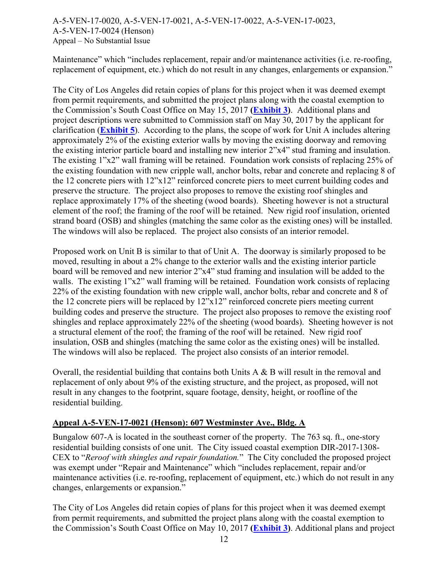Maintenance" which "includes replacement, repair and/or maintenance activities (i.e. re-roofing, replacement of equipment, etc.) which do not result in any changes, enlargements or expansion."

The City of Los Angeles did retain copies of plans for this project when it was deemed exempt from permit requirements, and submitted the project plans along with the coastal exemption to the Commission's South Coast Office on May 15, 2017 **[\(Exhibit 3\)](https://documents.coastal.ca.gov/reports/2017/7/W13a-s/W13a-s-7-2017-exhibits.pdf)**. Additional plans and project descriptions were submitted to Commission staff on May 30, 2017 by the applicant for clarification (**[Exhibit 5](https://documents.coastal.ca.gov/reports/2017/7/W13a-s/W13a-s-7-2017-exhibits.pdf)**). According to the plans, the scope of work for Unit A includes altering approximately 2% of the existing exterior walls by moving the existing doorway and removing the existing interior particle board and installing new interior 2"x4" stud framing and insulation. The existing 1"x2" wall framing will be retained. Foundation work consists of replacing 25% of the existing foundation with new cripple wall, anchor bolts, rebar and concrete and replacing 8 of the 12 concrete piers with 12"x12" reinforced concrete piers to meet current building codes and preserve the structure. The project also proposes to remove the existing roof shingles and replace approximately 17% of the sheeting (wood boards). Sheeting however is not a structural element of the roof; the framing of the roof will be retained. New rigid roof insulation, oriented strand board (OSB) and shingles (matching the same color as the existing ones) will be installed. The windows will also be replaced. The project also consists of an interior remodel.

Proposed work on Unit B is similar to that of Unit A. The doorway is similarly proposed to be moved, resulting in about a 2% change to the exterior walls and the existing interior particle board will be removed and new interior 2"x4" stud framing and insulation will be added to the walls. The existing 1"x2" wall framing will be retained. Foundation work consists of replacing 22% of the existing foundation with new cripple wall, anchor bolts, rebar and concrete and 8 of the 12 concrete piers will be replaced by 12"x12" reinforced concrete piers meeting current building codes and preserve the structure. The project also proposes to remove the existing roof shingles and replace approximately 22% of the sheeting (wood boards). Sheeting however is not a structural element of the roof; the framing of the roof will be retained. New rigid roof insulation, OSB and shingles (matching the same color as the existing ones) will be installed. The windows will also be replaced. The project also consists of an interior remodel.

Overall, the residential building that contains both Units A  $\&$  B will result in the removal and replacement of only about 9% of the existing structure, and the project, as proposed, will not result in any changes to the footprint, square footage, density, height, or roofline of the residential building.

#### **Appeal A-5-VEN-17-0021 (Henson): 607 Westminster Ave., Bldg. A**

Bungalow 607-A is located in the southeast corner of the property. The 763 sq. ft., one-story residential building consists of one unit. The City issued coastal exemption DIR-2017-1308- CEX to "*Reroof with shingles and repair foundation.*" The City concluded the proposed project was exempt under "Repair and Maintenance" which "includes replacement, repair and/or maintenance activities (i.e. re-roofing, replacement of equipment, etc.) which do not result in any changes, enlargements or expansion."

The City of Los Angeles did retain copies of plans for this project when it was deemed exempt from permit requirements, and submitted the project plans along with the coastal exemption to the Commission's South Coast Office on May 10, 2017 **[\(Exhibit 3\)](https://documents.coastal.ca.gov/reports/2017/7/W13a-s/W13a-s-7-2017-exhibits.pdf)**. Additional plans and project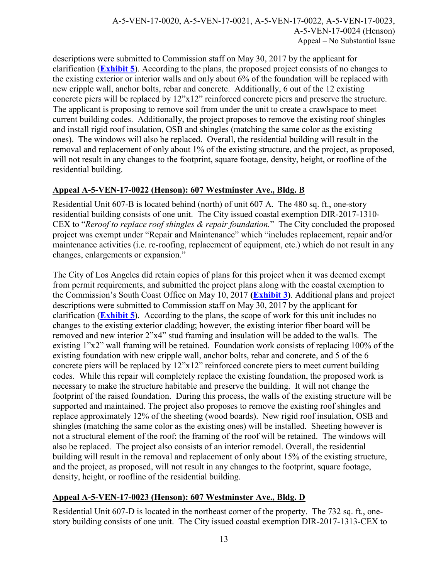descriptions were submitted to Commission staff on May 30, 2017 by the applicant for clarification (**[Exhibit 5](https://documents.coastal.ca.gov/reports/2017/7/W13a-s/W13a-s-7-2017-exhibits.pdf)**). According to the plans, the proposed project consists of no changes to the existing exterior or interior walls and only about 6% of the foundation will be replaced with new cripple wall, anchor bolts, rebar and concrete. Additionally, 6 out of the 12 existing concrete piers will be replaced by 12"x12" reinforced concrete piers and preserve the structure. The applicant is proposing to remove soil from under the unit to create a crawlspace to meet current building codes. Additionally, the project proposes to remove the existing roof shingles and install rigid roof insulation, OSB and shingles (matching the same color as the existing ones). The windows will also be replaced. Overall, the residential building will result in the removal and replacement of only about 1% of the existing structure, and the project, as proposed, will not result in any changes to the footprint, square footage, density, height, or roofline of the residential building.

#### **Appeal A-5-VEN-17-0022 (Henson): 607 Westminster Ave., Bldg. B**

Residential Unit 607-B is located behind (north) of unit 607 A. The 480 sq. ft., one-story residential building consists of one unit. The City issued coastal exemption DIR-2017-1310- CEX to "*Reroof to replace roof shingles & repair foundation.*" The City concluded the proposed project was exempt under "Repair and Maintenance" which "includes replacement, repair and/or maintenance activities (i.e. re-roofing, replacement of equipment, etc.) which do not result in any changes, enlargements or expansion."

The City of Los Angeles did retain copies of plans for this project when it was deemed exempt from permit requirements, and submitted the project plans along with the coastal exemption to the Commission's South Coast Office on May 10, 2017 **[\(Exhibit 3\)](https://documents.coastal.ca.gov/reports/2017/7/W13a-s/W13a-s-7-2017-exhibits.pdf)**. Additional plans and project descriptions were submitted to Commission staff on May 30, 2017 by the applicant for clarification (**[Exhibit 5](https://documents.coastal.ca.gov/reports/2017/7/W13a-s/W13a-s-7-2017-exhibits.pdf)**). According to the plans, the scope of work for this unit includes no changes to the existing exterior cladding; however, the existing interior fiber board will be removed and new interior 2"x4" stud framing and insulation will be added to the walls. The existing 1"x2" wall framing will be retained. Foundation work consists of replacing 100% of the existing foundation with new cripple wall, anchor bolts, rebar and concrete, and 5 of the 6 concrete piers will be replaced by 12"x12" reinforced concrete piers to meet current building codes. While this repair will completely replace the existing foundation, the proposed work is necessary to make the structure habitable and preserve the building. It will not change the footprint of the raised foundation. During this process, the walls of the existing structure will be supported and maintained. The project also proposes to remove the existing roof shingles and replace approximately 12% of the sheeting (wood boards). New rigid roof insulation, OSB and shingles (matching the same color as the existing ones) will be installed. Sheeting however is not a structural element of the roof; the framing of the roof will be retained. The windows will also be replaced. The project also consists of an interior remodel. Overall, the residential building will result in the removal and replacement of only about 15% of the existing structure, and the project, as proposed, will not result in any changes to the footprint, square footage, density, height, or roofline of the residential building.

#### **Appeal A-5-VEN-17-0023 (Henson): 607 Westminster Ave., Bldg. D**

Residential Unit 607-D is located in the northeast corner of the property. The 732 sq. ft., onestory building consists of one unit. The City issued coastal exemption DIR-2017-1313-CEX to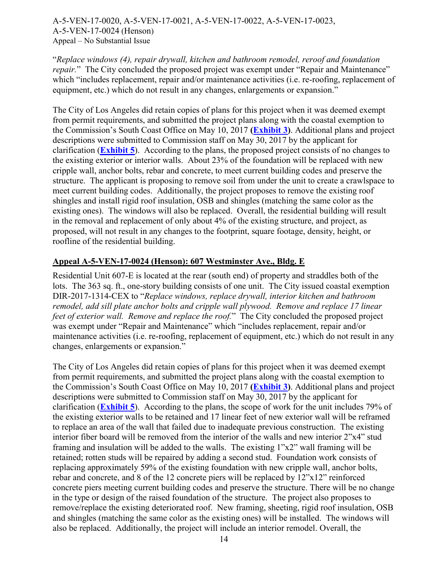"*Replace windows (4), repair drywall, kitchen and bathroom remodel, reroof and foundation repair.*" The City concluded the proposed project was exempt under "Repair and Maintenance" which "includes replacement, repair and/or maintenance activities (i.e. re-roofing, replacement of equipment, etc.) which do not result in any changes, enlargements or expansion."

The City of Los Angeles did retain copies of plans for this project when it was deemed exempt from permit requirements, and submitted the project plans along with the coastal exemption to the Commission's South Coast Office on May 10, 2017 **[\(Exhibit 3\)](https://documents.coastal.ca.gov/reports/2017/7/W13a-s/W13a-s-7-2017-exhibits.pdf)**. Additional plans and project descriptions were submitted to Commission staff on May 30, 2017 by the applicant for clarification (**[Exhibit 5](https://documents.coastal.ca.gov/reports/2017/7/W13a-s/W13a-s-7-2017-exhibits.pdf)**). According to the plans, the proposed project consists of no changes to the existing exterior or interior walls. About 23% of the foundation will be replaced with new cripple wall, anchor bolts, rebar and concrete, to meet current building codes and preserve the structure. The applicant is proposing to remove soil from under the unit to create a crawlspace to meet current building codes. Additionally, the project proposes to remove the existing roof shingles and install rigid roof insulation, OSB and shingles (matching the same color as the existing ones). The windows will also be replaced. Overall, the residential building will result in the removal and replacement of only about 4% of the existing structure, and project, as proposed, will not result in any changes to the footprint, square footage, density, height, or roofline of the residential building.

#### **Appeal A-5-VEN-17-0024 (Henson): 607 Westminster Ave., Bldg. E**

Residential Unit 607-E is located at the rear (south end) of property and straddles both of the lots. The 363 sq. ft., one-story building consists of one unit. The City issued coastal exemption DIR-2017-1314-CEX to "*Replace windows, replace drywall, interior kitchen and bathroom remodel, add sill plate anchor bolts and cripple wall plywood. Remove and replace 17 linear feet of exterior wall. Remove and replace the roof.*" The City concluded the proposed project was exempt under "Repair and Maintenance" which "includes replacement, repair and/or maintenance activities (i.e. re-roofing, replacement of equipment, etc.) which do not result in any changes, enlargements or expansion."

The City of Los Angeles did retain copies of plans for this project when it was deemed exempt from permit requirements, and submitted the project plans along with the coastal exemption to the Commission's South Coast Office on May 10, 2017 **[\(Exhibit 3\)](https://documents.coastal.ca.gov/reports/2017/7/W13a-s/W13a-s-7-2017-exhibits.pdf)**. Additional plans and project descriptions were submitted to Commission staff on May 30, 2017 by the applicant for clarification (**[Exhibit 5](https://documents.coastal.ca.gov/reports/2017/7/W13a-s/W13a-s-7-2017-exhibits.pdf)**). According to the plans, the scope of work for the unit includes 79% of the existing exterior walls to be retained and 17 linear feet of new exterior wall will be reframed to replace an area of the wall that failed due to inadequate previous construction. The existing interior fiber board will be removed from the interior of the walls and new interior 2"x4" stud framing and insulation will be added to the walls. The existing 1"x2" wall framing will be retained; rotten studs will be repaired by adding a second stud. Foundation work consists of replacing approximately 59% of the existing foundation with new cripple wall, anchor bolts, rebar and concrete, and 8 of the 12 concrete piers will be replaced by 12"x12" reinforced concrete piers meeting current building codes and preserve the structure. There will be no change in the type or design of the raised foundation of the structure. The project also proposes to remove/replace the existing deteriorated roof. New framing, sheeting, rigid roof insulation, OSB and shingles (matching the same color as the existing ones) will be installed. The windows will also be replaced. Additionally, the project will include an interior remodel. Overall, the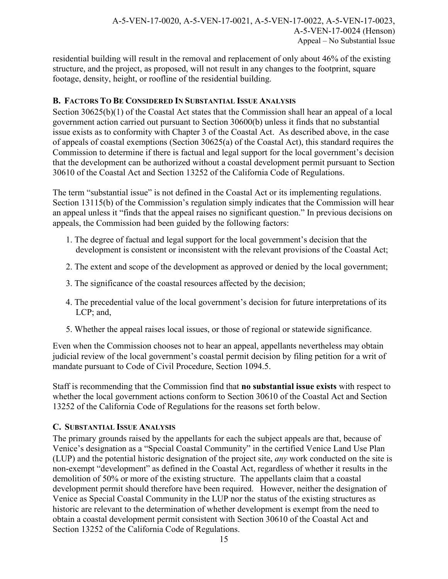residential building will result in the removal and replacement of only about 46% of the existing structure, and the project, as proposed, will not result in any changes to the footprint, square footage, density, height, or roofline of the residential building.

#### <span id="page-14-0"></span>**B. FACTORS TO BE CONSIDERED IN SUBSTANTIAL ISSUE ANALYSIS**

Section 30625(b)(1) of the Coastal Act states that the Commission shall hear an appeal of a local government action carried out pursuant to Section 30600(b) unless it finds that no substantial issue exists as to conformity with Chapter 3 of the Coastal Act. As described above, in the case of appeals of coastal exemptions (Section 30625(a) of the Coastal Act), this standard requires the Commission to determine if there is factual and legal support for the local government's decision that the development can be authorized without a coastal development permit pursuant to Section 30610 of the Coastal Act and Section 13252 of the California Code of Regulations.

The term "substantial issue" is not defined in the Coastal Act or its implementing regulations. Section 13115(b) of the Commission's regulation simply indicates that the Commission will hear an appeal unless it "finds that the appeal raises no significant question." In previous decisions on appeals, the Commission had been guided by the following factors:

- 1. The degree of factual and legal support for the local government's decision that the development is consistent or inconsistent with the relevant provisions of the Coastal Act;
- 2. The extent and scope of the development as approved or denied by the local government;
- 3. The significance of the coastal resources affected by the decision;
- 4. The precedential value of the local government's decision for future interpretations of its LCP; and,
- 5. Whether the appeal raises local issues, or those of regional or statewide significance.

Even when the Commission chooses not to hear an appeal, appellants nevertheless may obtain judicial review of the local government's coastal permit decision by filing petition for a writ of mandate pursuant to Code of Civil Procedure, Section 1094.5.

Staff is recommending that the Commission find that **no substantial issue exists** with respect to whether the local government actions conform to Section 30610 of the Coastal Act and Section 13252 of the California Code of Regulations for the reasons set forth below.

#### <span id="page-14-1"></span>**C. SUBSTANTIAL ISSUE ANALYSIS**

The primary grounds raised by the appellants for each the subject appeals are that, because of Venice's designation as a "Special Coastal Community" in the certified Venice Land Use Plan (LUP) and the potential historic designation of the project site, *any* work conducted on the site is non-exempt "development" as defined in the Coastal Act, regardless of whether it results in the demolition of 50% or more of the existing structure. The appellants claim that a coastal development permit should therefore have been required. However, neither the designation of Venice as Special Coastal Community in the LUP nor the status of the existing structures as historic are relevant to the determination of whether development is exempt from the need to obtain a coastal development permit consistent with Section 30610 of the Coastal Act and Section 13252 of the California Code of Regulations.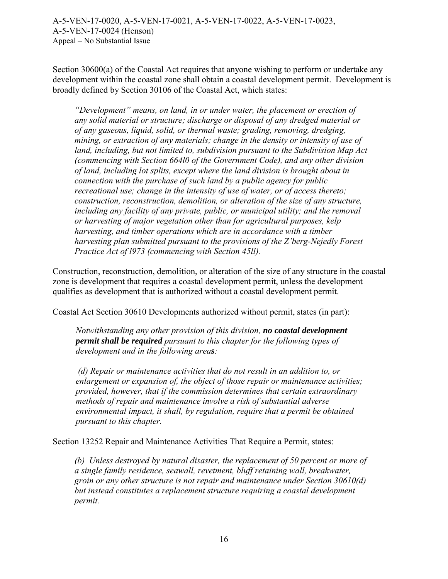Section 30600(a) of the Coastal Act requires that anyone wishing to perform or undertake any development within the coastal zone shall obtain a coastal development permit. Development is broadly defined by Section 30106 of the Coastal Act, which states:

*"Development" means, on land, in or under water, the placement or erection of any solid material or structure; discharge or disposal of any dredged material or of any gaseous, liquid, solid, or thermal waste; grading, removing, dredging, mining, or extraction of any materials; change in the density or intensity of use of land, including, but not limited to, subdivision pursuant to the Subdivision Map Act (commencing with Section 664l0 of the Government Code), and any other division of land, including lot splits, except where the land division is brought about in connection with the purchase of such land by a public agency for public recreational use; change in the intensity of use of water, or of access thereto; construction, reconstruction, demolition, or alteration of the size of any structure, including any facility of any private, public, or municipal utility; and the removal or harvesting of major vegetation other than for agricultural purposes, kelp harvesting, and timber operations which are in accordance with a timber harvesting plan submitted pursuant to the provisions of the Z'berg-Nejedly Forest Practice Act of l973 (commencing with Section 45ll).* 

Construction, reconstruction, demolition, or alteration of the size of any structure in the coastal zone is development that requires a coastal development permit, unless the development qualifies as development that is authorized without a coastal development permit.

Coastal Act Section 30610 Developments authorized without permit, states (in part):

*Notwithstanding any other provision of this division, no coastal development permit shall be required pursuant to this chapter for the following types of development and in the following areas:* 

*(d) Repair or maintenance activities that do not result in an addition to, or enlargement or expansion of, the object of those repair or maintenance activities; provided, however, that if the commission determines that certain extraordinary methods of repair and maintenance involve a risk of substantial adverse environmental impact, it shall, by regulation, require that a permit be obtained pursuant to this chapter.* 

Section 13252 Repair and Maintenance Activities That Require a Permit, states:

*(b) Unless destroyed by natural disaster, the replacement of 50 percent or more of a single family residence, seawall, revetment, bluff retaining wall, breakwater, groin or any other structure is not repair and maintenance under Section 30610(d) but instead constitutes a replacement structure requiring a coastal development permit.*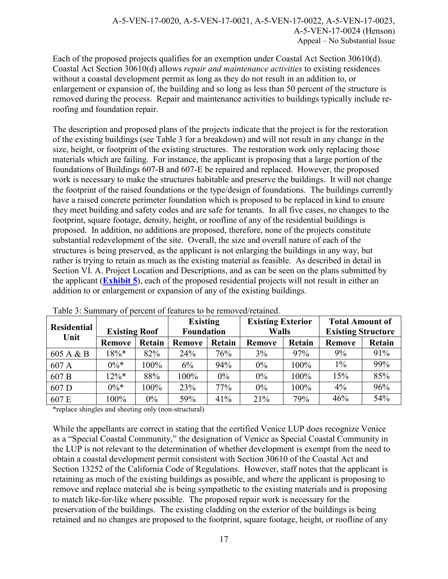Each of the proposed projects qualifies for an exemption under Coastal Act Section 30610(d). Coastal Act Section 30610(d) allows *repair and maintenance activities* to existing residences without a coastal development permit as long as they do not result in an addition to, or enlargement or expansion of, the building and so long as less than 50 percent of the structure is removed during the process. Repair and maintenance activities to buildings typically include reroofing and foundation repair.

The description and proposed plans of the projects indicate that the project is for the restoration of the existing buildings (see Table 3 for a breakdown) and will not result in any change in the size, height, or footprint of the existing structures. The restoration work only replacing those materials which are failing. For instance, the applicant is proposing that a large portion of the foundations of Buildings 607-B and 607-E be repaired and replaced. However, the proposed work is necessary to make the structures habitable and preserve the buildings. It will not change the footprint of the raised foundations or the type/design of foundations. The buildings currently have a raised concrete perimeter foundation which is proposed to be replaced in kind to ensure they meet building and safety codes and are safe for tenants. In all five cases, no changes to the footprint, square footage, density, height, or roofline of any of the residential buildings is proposed. In addition, no additions are proposed, therefore, none of the projects constitute substantial redevelopment of the site. Overall, the size and overall nature of each of the structures is being preserved, as the applicant is not enlarging the buildings in any way, but rather is trying to retain as much as the existing material as feasible. As described in detail in [Section VI. A. Project Location and Descriptions](#page-10-1), and as can be seen on the plans submitted by the applicant (**[Exhibit 5](https://documents.coastal.ca.gov/reports/2017/7/W13a-s/W13a-s-7-2017-exhibits.pdf)**), each of the proposed residential projects will not result in either an addition to or enlargement or expansion of any of the existing buildings.

| <b>Residential</b> | <b>Existing Roof</b> |         | <b>Existing</b><br><b>Foundation</b> |               | <b>Existing Exterior</b><br><b>Walls</b> |        | <b>Total Amount of</b><br><b>Existing Structure</b> |        |
|--------------------|----------------------|---------|--------------------------------------|---------------|------------------------------------------|--------|-----------------------------------------------------|--------|
| Unit               | <b>Remove</b>        | Retain  | Remove                               | <b>Retain</b> | Remove                                   | Retain | <b>Remove</b>                                       | Retain |
| 605 A & B          | $18\%*$              | 82%     | 24%                                  | 76%           | 3%                                       | 97%    | 9%                                                  | 91%    |
| 607 A              | $0\%*$               | $100\%$ | 6%                                   | 94%           | $0\%$                                    | 100%   | $1\%$                                               | 99%    |
| 607 <sub>B</sub>   | $12\%*$              | 88%     | 100%                                 | $0\%$         | $0\%$                                    | 100%   | 15%                                                 | 85%    |
| 607 D              | $0\%*$               | 100%    | 23%                                  | 77%           | $0\%$                                    | 100%   | $4\%$                                               | 96%    |
| 607 E              | 100%                 | $0\%$   | 59%                                  | 41%           | 21%                                      | 79%    | 46%                                                 | 54%    |

Table 3: Summary of percent of features to be removed/retained.

\*replace shingles and sheeting only (non-structural)

While the appellants are correct in stating that the certified Venice LUP does recognize Venice as a "Special Coastal Community," the designation of Venice as Special Coastal Community in the LUP is not relevant to the determination of whether development is exempt from the need to obtain a coastal development permit consistent with Section 30610 of the Coastal Act and Section 13252 of the California Code of Regulations. However, staff notes that the applicant is retaining as much of the existing buildings as possible, and where the applicant is proposing to remove and replace material she is being sympathetic to the existing materials and is proposing to match like-for-like where possible. The proposed repair work is necessary for the preservation of the buildings. The existing cladding on the exterior of the buildings is being retained and no changes are proposed to the footprint, square footage, height, or roofline of any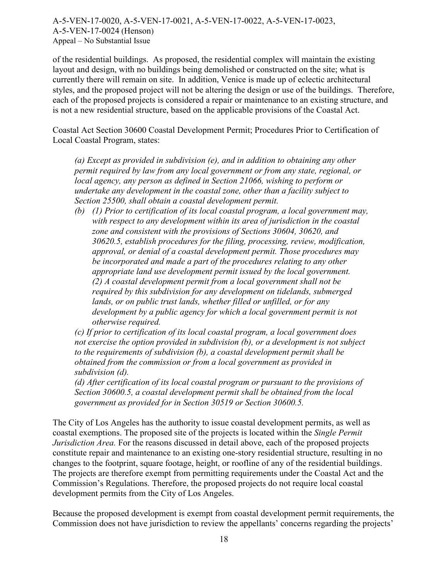of the residential buildings. As proposed, the residential complex will maintain the existing layout and design, with no buildings being demolished or constructed on the site; what is currently there will remain on site. In addition, Venice is made up of eclectic architectural styles, and the proposed project will not be altering the design or use of the buildings. Therefore, each of the proposed projects is considered a repair or maintenance to an existing structure, and is not a new residential structure, based on the applicable provisions of the Coastal Act.

Coastal Act Section 30600 Coastal Development Permit; Procedures Prior to Certification of Local Coastal Program, states:

*(a) Except as provided in subdivision (e), and in addition to obtaining any other permit required by law from any local government or from any state, regional, or local agency, any person as defined in Section 21066, wishing to perform or undertake any development in the coastal zone, other than a facility subject to Section 25500, shall obtain a coastal development permit.* 

*(b) (1) Prior to certification of its local coastal program, a local government may, with respect to any development within its area of jurisdiction in the coastal zone and consistent with the provisions of Sections 30604, 30620, and 30620.5, establish procedures for the filing, processing, review, modification, approval, or denial of a coastal development permit. Those procedures may be incorporated and made a part of the procedures relating to any other appropriate land use development permit issued by the local government. (2) A coastal development permit from a local government shall not be required by this subdivision for any development on tidelands, submerged lands, or on public trust lands, whether filled or unfilled, or for any development by a public agency for which a local government permit is not otherwise required.* 

*(c) If prior to certification of its local coastal program, a local government does not exercise the option provided in subdivision (b), or a development is not subject to the requirements of subdivision (b), a coastal development permit shall be obtained from the commission or from a local government as provided in subdivision (d).* 

*(d) After certification of its local coastal program or pursuant to the provisions of Section 30600.5, a coastal development permit shall be obtained from the local government as provided for in Section 30519 or Section 30600.5.* 

The City of Los Angeles has the authority to issue coastal development permits, as well as coastal exemptions. The proposed site of the projects is located within the *Single Permit Jurisdiction Area.* For the reasons discussed in detail above, each of the proposed projects constitute repair and maintenance to an existing one-story residential structure, resulting in no changes to the footprint, square footage, height, or roofline of any of the residential buildings. The projects are therefore exempt from permitting requirements under the Coastal Act and the Commission's Regulations. Therefore, the proposed projects do not require local coastal development permits from the City of Los Angeles.

Because the proposed development is exempt from coastal development permit requirements, the Commission does not have jurisdiction to review the appellants' concerns regarding the projects'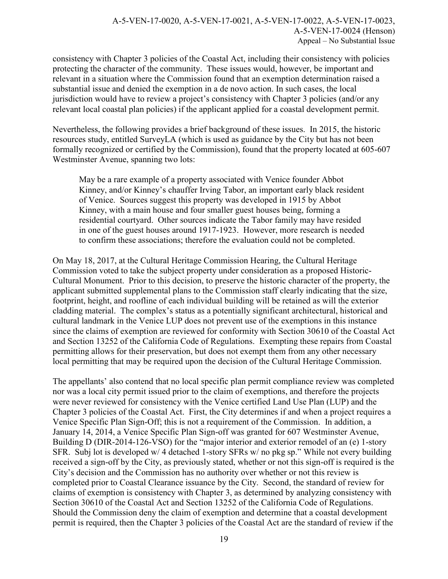consistency with Chapter 3 policies of the Coastal Act, including their consistency with policies protecting the character of the community. These issues would, however, be important and relevant in a situation where the Commission found that an exemption determination raised a substantial issue and denied the exemption in a de novo action. In such cases, the local jurisdiction would have to review a project's consistency with Chapter 3 policies (and/or any relevant local coastal plan policies) if the applicant applied for a coastal development permit.

Nevertheless, the following provides a brief background of these issues. In 2015, the historic resources study, entitled SurveyLA (which is used as guidance by the City but has not been formally recognized or certified by the Commission), found that the property located at 605-607 Westminster Avenue, spanning two lots:

May be a rare example of a property associated with Venice founder Abbot Kinney, and/or Kinney's chauffer Irving Tabor, an important early black resident of Venice. Sources suggest this property was developed in 1915 by Abbot Kinney, with a main house and four smaller guest houses being, forming a residential courtyard. Other sources indicate the Tabor family may have resided in one of the guest houses around 1917-1923. However, more research is needed to confirm these associations; therefore the evaluation could not be completed.

On May 18, 2017, at the Cultural Heritage Commission Hearing, the Cultural Heritage Commission voted to take the subject property under consideration as a proposed Historic-Cultural Monument. Prior to this decision, to preserve the historic character of the property, the applicant submitted supplemental plans to the Commission staff clearly indicating that the size, footprint, height, and roofline of each individual building will be retained as will the exterior cladding material. The complex's status as a potentially significant architectural, historical and cultural landmark in the Venice LUP does not prevent use of the exemptions in this instance since the claims of exemption are reviewed for conformity with Section 30610 of the Coastal Act and Section 13252 of the California Code of Regulations. Exempting these repairs from Coastal permitting allows for their preservation, but does not exempt them from any other necessary local permitting that may be required upon the decision of the Cultural Heritage Commission.

The appellants' also contend that no local specific plan permit compliance review was completed nor was a local city permit issued prior to the claim of exemptions, and therefore the projects were never reviewed for consistency with the Venice certified Land Use Plan (LUP) and the Chapter 3 policies of the Coastal Act. First, the City determines if and when a project requires a Venice Specific Plan Sign-Off; this is not a requirement of the Commission. In addition, a January 14, 2014, a Venice Specific Plan Sign-off was granted for 607 Westminster Avenue, Building D (DIR-2014-126-VSO) for the "major interior and exterior remodel of an (e) 1-story SFR. Subj lot is developed w/ 4 detached 1-story SFRs w/ no pkg sp." While not every building received a sign-off by the City, as previously stated, whether or not this sign-off is required is the City's decision and the Commission has no authority over whether or not this review is completed prior to Coastal Clearance issuance by the City. Second, the standard of review for claims of exemption is consistency with Chapter 3, as determined by analyzing consistency with Section 30610 of the Coastal Act and Section 13252 of the California Code of Regulations. Should the Commission deny the claim of exemption and determine that a coastal development permit is required, then the Chapter 3 policies of the Coastal Act are the standard of review if the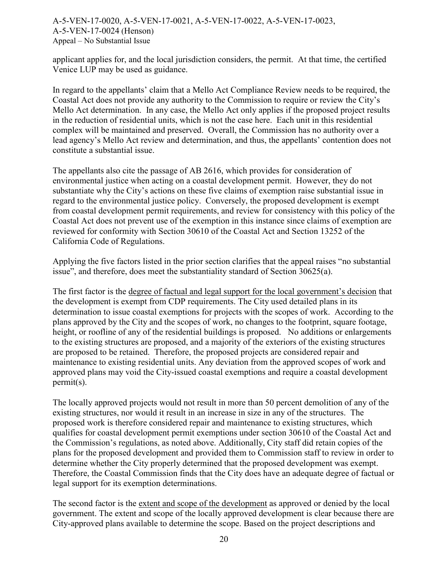applicant applies for, and the local jurisdiction considers, the permit. At that time, the certified Venice LUP may be used as guidance.

In regard to the appellants' claim that a Mello Act Compliance Review needs to be required, the Coastal Act does not provide any authority to the Commission to require or review the City's Mello Act determination. In any case, the Mello Act only applies if the proposed project results in the reduction of residential units, which is not the case here. Each unit in this residential complex will be maintained and preserved. Overall, the Commission has no authority over a lead agency's Mello Act review and determination, and thus, the appellants' contention does not constitute a substantial issue.

The appellants also cite the passage of AB 2616, which provides for consideration of environmental justice when acting on a coastal development permit. However, they do not substantiate why the City's actions on these five claims of exemption raise substantial issue in regard to the environmental justice policy. Conversely, the proposed development is exempt from coastal development permit requirements, and review for consistency with this policy of the Coastal Act does not prevent use of the exemption in this instance since claims of exemption are reviewed for conformity with Section 30610 of the Coastal Act and Section 13252 of the California Code of Regulations.

Applying the five factors listed in the prior section clarifies that the appeal raises "no substantial issue", and therefore, does meet the substantiality standard of Section 30625(a).

The first factor is the degree of factual and legal support for the local government's decision that the development is exempt from CDP requirements. The City used detailed plans in its determination to issue coastal exemptions for projects with the scopes of work. According to the plans approved by the City and the scopes of work, no changes to the footprint, square footage, height, or roofline of any of the residential buildings is proposed. No additions or enlargements to the existing structures are proposed, and a majority of the exteriors of the existing structures are proposed to be retained. Therefore, the proposed projects are considered repair and maintenance to existing residential units. Any deviation from the approved scopes of work and approved plans may void the City-issued coastal exemptions and require a coastal development permit(s).

The locally approved projects would not result in more than 50 percent demolition of any of the existing structures, nor would it result in an increase in size in any of the structures. The proposed work is therefore considered repair and maintenance to existing structures, which qualifies for coastal development permit exemptions under section 30610 of the Coastal Act and the Commission's regulations, as noted above. Additionally, City staff did retain copies of the plans for the proposed development and provided them to Commission staff to review in order to determine whether the City properly determined that the proposed development was exempt. Therefore, the Coastal Commission finds that the City does have an adequate degree of factual or legal support for its exemption determinations.

The second factor is the extent and scope of the development as approved or denied by the local government. The extent and scope of the locally approved development is clear because there are City-approved plans available to determine the scope. Based on the project descriptions and